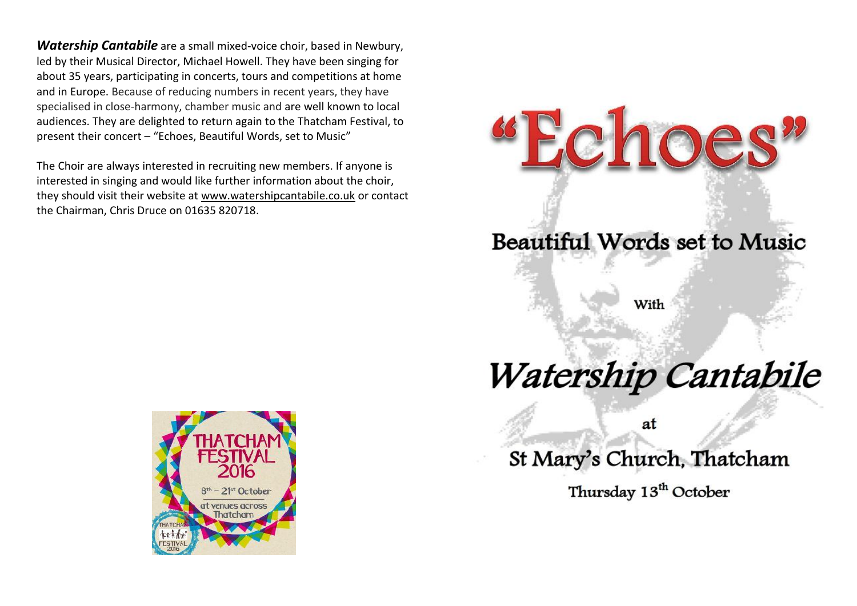*Watership Cantabile* are a small mixed-voice choir, based in Newbury, led by their Musical Director, Michael Howell. They have been singing for about 35 years, participating in concerts, tours and competitions at home and in Europe. Because of reducing numbers in recent years, they have specialised in close-harmony, chamber music and are well known to local audiences. They are delighted to return again to the Thatcham Festival, to present their concert – "Echoes, Beautiful Words, set to Music"

The Choir are always interested in recruiting new members. If anyone is interested in singing and would like further information about the choir, they should visit their website at [www.watershipcantabile.co.uk](http://www.watershipcantabile.co.uk/) or contact the Chairman, Chris Druce on 01635 820718.



Beautiful Words set to Music

choes

## Watership Cantabile

at

St Mary's Church, Thatcham

Thursday 13<sup>th</sup> October